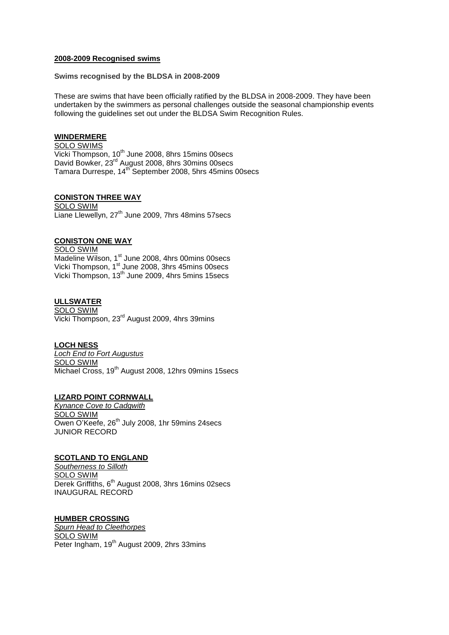#### **2008-2009 Recognised swims**

**Swims recognised by the BLDSA in 2008-2009**

These are swims that have been officially ratified by the BLDSA in 2008-2009. They have been undertaken by the swimmers as personal challenges outside the seasonal championship events following the guidelines set out under the BLDSA Swim Recognition Rules.

#### **WINDERMERE**

SOLO SWIMS  $\overline{\text{Vicki}}$  Thompson, 10<sup>th</sup> June 2008, 8hrs 15mins 00secs David Bowker, 23<sup>rd</sup> August 2008, 8hrs 30mins 00secs Tamara Durrespe, 14<sup>th</sup> September 2008, 5hrs 45mins 00secs

### **CONISTON THREE WAY**

SOLO SWIM Liane Llewellyn, 27<sup>th</sup> June 2009, 7hrs 48mins 57secs

# **CONISTON ONE WAY**

SOLO SWIM Madeline Wilson, 1<sup>st</sup> June 2008, 4hrs 00mins 00secs Vicki Thompson, 1<sup>st</sup> June 2008, 3hrs 45mins 00secs Vicki Thompson, 13<sup>th</sup> June 2009, 4hrs 5mins 15secs

### **ULLSWATER**

SOLO SWIM Vicki Thompson, 23rd August 2009, 4hrs 39mins

#### **LOCH NESS**

*Loch End to Fort Augustus* SOLO SWIM Michael Cross, 19<sup>th</sup> August 2008, 12hrs 09mins 15secs

### **LIZARD POINT CORNWALL**

*Kynance Cove to Cadgwith* SOLO SWIM Owen O'Keefe, 26<sup>th</sup> July 2008, 1hr 59mins 24secs JUNIOR RECORD

### **SCOTLAND TO ENGLAND**

*Southerness to Silloth* SOLO SWIM Derek Griffiths, 6<sup>th</sup> August 2008, 3hrs 16mins 02secs INAUGURAL RECORD

#### **HUMBER CROSSING**

*Spurn Head to Cleethorpes* SOLO SWIM Peter Ingham, 19<sup>th</sup> August 2009, 2hrs 33mins